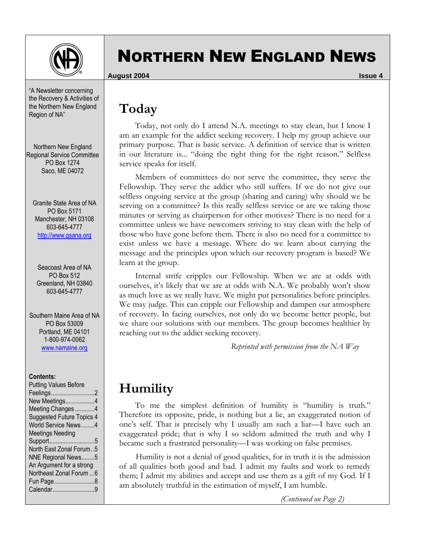

# NORTHERN NEW ENGLAND NEWS

**August 2004 Issue 4**

## **Today**

 Today, not only do I attend N.A. meetings to stay clean, but I know I am an example for the addict seeking recovery. I help my group achieve our primary purpose. That is basic service. A definition of service that is written in our literature is... "doing the right thing for the right reason." Selfless service speaks for itself.

 Members of committees do not serve the committee, they serve the Fellowship. They serve the addict who still suffers. If we do not give our selfless ongoing service at the group (sharing and caring) why should we be serving on a committee? Is this really selfless service or are we taking those minutes or serving as chairperson for other motives? There is no need for a committee unless we have newcomers striving to stay clean with the help of those who have gone before them. There is also no need for a committee to exist unless we have a message. Where do we learn about carrying the message and the principles upon which our recovery program is based? We learn at the group.

 Internal strife cripples our Fellowship. When we are at odds with ourselves, it's likely that we are at odds with N.A. We probably won't show as much love as we really have. We might put personalities before principles. We may judge. This can cripple our Fellowship and dampen our atmosphere of recovery. In facing ourselves, not only do we become better people, but we share our solutions with our members. The group becomes healthier by reaching out to the addict seeking recovery.

*Reprinted with permission from the NA Way* 

## **Humility**

 To me the simplest definition of humility is "humility is truth." Therefore its opposite, pride, is nothing but a lie, an exaggerated notion of one's self. That is precisely why I usually am such a liar—I have such an exaggerated pride; that is why I so seldom admitted the truth and why I became such a frustrated personality—I was working on false premises.

Humility is not a denial of good qualities, for in truth it is the admission of all qualities both good and bad. I admit my faults and work to remedy them; I admit my abilities and accept and use them as a gift of my God. If I am absolutely truthful in the estimation of myself, I am humble.

*(Continued on Page 2)* 

the Recovery & Activities of the Northern New England Region of NA"

"A Newsletter concerning

Northern New England Regional Service Committee PO Box 1274 Saco, ME 04072

Granite State Area of NA PO Box 5171 Manchester, NH 03108 603-645-4777 http://www.gsana.org

Seacoast Area of NA PO Box 512 Greenland, NH 03840 603-645-4777

Southern Maine Area of NA PO Box 53009 Portland, ME 04101 1-800-974-0062 www.namaine.org

### **Contents:**

| <b>Putting Values Before</b>     |
|----------------------------------|
| Feelings2                        |
| New Meetings4                    |
| Meeting Changes 4                |
| <b>Suggested Future Topics 4</b> |
| World Service News4              |
| <b>Meetings Needing</b>          |
| Support5                         |
| North East Zonal Forum5          |
| NNE Regional News5               |
| An Argument for a strong         |
| Northeast Zonal Forum  6         |
| Fun Page8                        |
| Calendar9                        |
|                                  |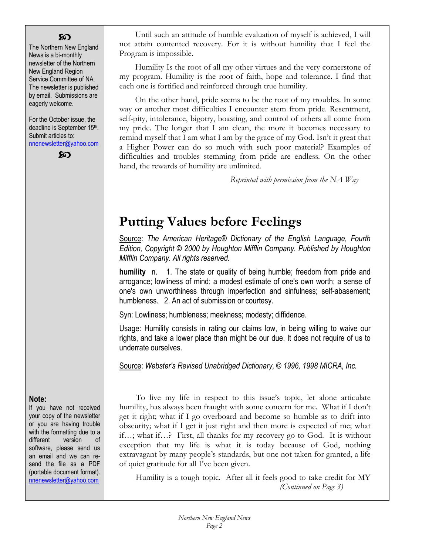### ဢ

The Northern New England News is a bi-monthly newsletter of the Northern New England Region Service Committee of NA. The newsletter is published by email. Submissions are eagerly welcome.

For the October issue, the deadline is September 15<sup>th</sup>. Submit articles to: nnenewsletter@yahoo.com

ဢ

 Until such an attitude of humble evaluation of myself is achieved, I will not attain contented recovery. For it is without humility that I feel the Program is impossible.

 Humility Is the root of all my other virtues and the very cornerstone of my program. Humility is the root of faith, hope and tolerance. I find that each one is fortified and reinforced through true humility.

 On the other hand, pride seems to be the root of my troubles. In some way or another most difficulties I encounter stem from pride. Resentment, self-pity, intolerance, bigotry, boasting, and control of others all come from my pride. The longer that I am clean, the more it becomes necessary to remind myself that I am what I am by the grace of my God. Isn't it great that a Higher Power can do so much with such poor material? Examples of difficulties and troubles stemming from pride are endless. On the other hand, the rewards of humility are unlimited.

*Reprinted with permission from the NA Way* 

## **Putting Values before Feelings**

Source: *The American Heritage® Dictionary of the English Language, Fourth Edition, Copyright © 2000 by Houghton Mifflin Company. Published by Houghton Mifflin Company. All rights reserved.*

**humility** n. 1. The state or quality of being humble; freedom from pride and arrogance; lowliness of mind; a modest estimate of one's own worth; a sense of one's own unworthiness through imperfection and sinfulness; self-abasement; humbleness. 2. An act of submission or courtesy.

Syn: Lowliness; humbleness; meekness; modesty; diffidence.

Usage: Humility consists in rating our claims low, in being willing to waive our rights, and take a lower place than might be our due. It does not require of us to underrate ourselves.

Source: *Webster's Revised Unabridged Dictionary, © 1996, 1998 MICRA, Inc.* 

### **Note:**

If you have not received your copy of the newsletter or you are having trouble with the formatting due to a different version of software, please send us an email and we can resend the file as a PDF (portable document format). nnenewsletter@yahoo.com

To live my life in respect to this issue's topic, let alone articulate humility, has always been fraught with some concern for me. What if I don't get it right; what if I go overboard and become so humble as to drift into obscurity; what if I get it just right and then more is expected of me; what if…; what if…? First, all thanks for my recovery go to God. It is without exception that my life is what it is today because of God, nothing extravagant by many people's standards, but one not taken for granted, a life of quiet gratitude for all I've been given.

Humility is a tough topic. After all it feels good to take credit for MY *(Continued on Page 3)*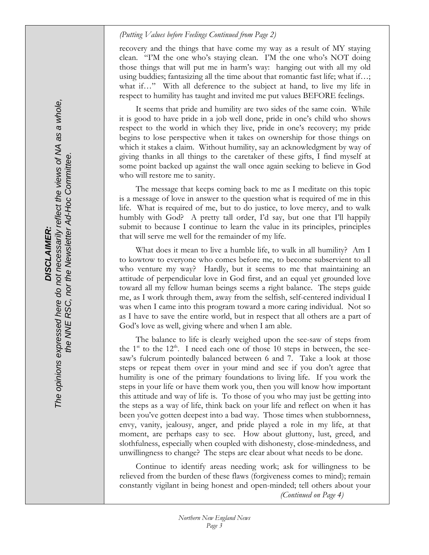### *(Putting Values before Feelings Continued from Page 2)*

recovery and the things that have come my way as a result of MY staying clean. "I'M the one who's staying clean. I'M the one who's NOT doing those things that will put me in harm's way: hanging out with all my old using buddies; fantasizing all the time about that romantic fast life; what if…; what if…" With all deference to the subject at hand, to live my life in respect to humility has taught and invited me put values BEFORE feelings.

It seems that pride and humility are two sides of the same coin. While it is good to have pride in a job well done, pride in one's child who shows respect to the world in which they live, pride in one's recovery; my pride begins to lose perspective when it takes on ownership for those things on which it stakes a claim. Without humility, say an acknowledgment by way of giving thanks in all things to the caretaker of these gifts, I find myself at some point backed up against the wall once again seeking to believe in God who will restore me to sanity.

The message that keeps coming back to me as I meditate on this topic is a message of love in answer to the question what is required of me in this life. What is required of me, but to do justice, to love mercy, and to walk humbly with God? A pretty tall order, I'd say, but one that I'll happily submit to because I continue to learn the value in its principles, principles that will serve me well for the remainder of my life.

What does it mean to live a humble life, to walk in all humility? Am I to kowtow to everyone who comes before me, to become subservient to all who venture my way? Hardly, but it seems to me that maintaining an attitude of perpendicular love in God first, and an equal yet grounded love toward all my fellow human beings seems a right balance. The steps guide me, as I work through them, away from the selfish, self-centered individual I was when I came into this program toward a more caring individual. Not so as I have to save the entire world, but in respect that all others are a part of God's love as well, giving where and when I am able.

The balance to life is clearly weighed upon the see-saw of steps from the  $1<sup>st</sup>$  to the  $12<sup>th</sup>$ . I need each one of those 10 steps in between, the seesaw's fulcrum pointedly balanced between 6 and 7. Take a look at those steps or repeat them over in your mind and see if you don't agree that humility is one of the primary foundations to living life. If you work the steps in your life or have them work you, then you will know how important this attitude and way of life is. To those of you who may just be getting into the steps as a way of life, think back on your life and reflect on when it has been you've gotten deepest into a bad way. Those times when stubbornness, envy, vanity, jealousy, anger, and pride played a role in my life, at that moment, are perhaps easy to see. How about gluttony, lust, greed, and slothfulness, especially when coupled with dishonesty, close-mindedness, and unwillingness to change? The steps are clear about what needs to be done.

Continue to identify areas needing work; ask for willingness to be relieved from the burden of these flaws (forgiveness comes to mind); remain constantly vigilant in being honest and open-minded; tell others about your *(Continued on Page 4)* 

*wh ole,*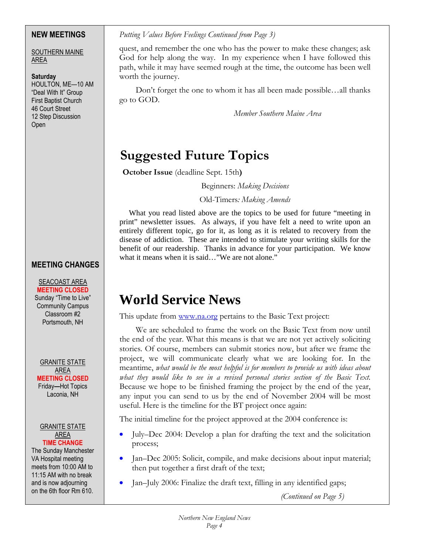### **NEW MEETINGS**

SOUTHERN MAINE AREA

### **Saturday**

HOULTON, ME—10 AM "Deal With It" Group First Baptist Church 46 Court Street 12 Step Discussion Open

## **MEETING CHANGES**

SEACOAST AREA **MEETING CLOSED** Sunday "Time to Live" Community Campus Classroom #2 Portsmouth, NH

GRANITE STATE AREA **MEETING CLOSED** Friday**—**Hot Topics Laconia, NH

#### GRANITE STATE AREA **TIME CHANGE**

The Sunday Manchester VA Hospital meeting meets from 10:00 AM to 11:15 AM with no break and is now adjourning on the 6th floor Rm 610.

*Putting Values Before Feelings Continued from Page 3)* 

quest, and remember the one who has the power to make these changes; ask God for help along the way. In my experience when I have followed this path, while it may have seemed rough at the time, the outcome has been well worth the journey.

Don't forget the one to whom it has all been made possible…all thanks go to GOD.

*Member Southern Maine Area* 

## **Suggested Future Topics**

 **October Issue** (deadline Sept. 15th**)** 

Beginners: *Making Decisions*

Old-Timers*: Making Amends*

What you read listed above are the topics to be used for future "meeting in print" newsletter issues. As always, if you have felt a need to write upon an entirely different topic, go for it, as long as it is related to recovery from the disease of addiction. These are intended to stimulate your writing skills for the benefit of our readership. Thanks in advance for your participation. We know what it means when it is said…"We are not alone."

## **World Service News**

This update from www.na.org pertains to the Basic Text project:

We are scheduled to frame the work on the Basic Text from now until the end of the year. What this means is that we are not yet actively soliciting stories. Of course, members can submit stories now, but after we frame the project, we will communicate clearly what we are looking for. In the meantime, *what would be the most helpful is for members to provide us with ideas about*  what they would like to see in a revised personal stories section of the Basic Text. Because we hope to be finished framing the project by the end of the year, any input you can send to us by the end of November 2004 will be most useful. Here is the timeline for the BT project once again:

The initial timeline for the project approved at the 2004 conference is:

- July–Dec 2004: Develop a plan for drafting the text and the solicitation process;
- Jan–Dec 2005: Solicit, compile, and make decisions about input material; then put together a first draft of the text;
- Jan–July 2006: Finalize the draft text, filling in any identified gaps;

*(Continued on Page 5)*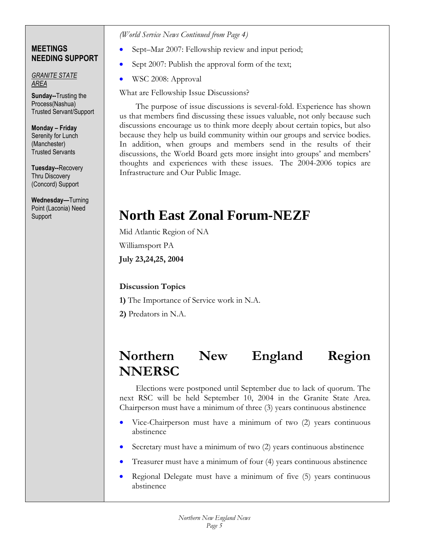### **MEETINGS NEEDING SUPPORT**

*GRANITE STATE AREA* 

**Sunday--**Trusting the Process(Nashua) Trusted Servant/Support

**Monday – Friday** Serenity for Lunch (Manchester) Trusted Servants

**Tuesday--**Recovery Thru Discovery (Concord) Support

**Wednesday—**Turning Point (Laconia) Need **Support** 

### *(World Service News Continued from Page 4)*

- Sept–Mar 2007: Fellowship review and input period;
- Sept 2007: Publish the approval form of the text;
- WSC 2008: Approval

What are Fellowship Issue Discussions?

The purpose of issue discussions is several-fold. Experience has shown us that members find discussing these issues valuable, not only because such discussions encourage us to think more deeply about certain topics, but also because they help us build community within our groups and service bodies. In addition, when groups and members send in the results of their discussions, the World Board gets more insight into groups' and members' thoughts and experiences with these issues. The 2004-2006 topics are Infrastructure and Our Public Image.

## **North East Zonal Forum-NEZF**

Mid Atlantic Region of NA

Williamsport PA

**July 23,24,25, 2004**

## **Discussion Topics**

**1)** The Importance of Service work in N.A.

**2)** Predators in N.A.

## **Northern New England Region NNERSC**

Elections were postponed until September due to lack of quorum. The next RSC will be held September 10, 2004 in the Granite State Area. Chairperson must have a minimum of three (3) years continuous abstinence

- Vice-Chairperson must have a minimum of two (2) years continuous abstinence
- Secretary must have a minimum of two (2) years continuous abstinence
- Treasurer must have a minimum of four (4) years continuous abstinence
- Regional Delegate must have a minimum of five (5) years continuous abstinence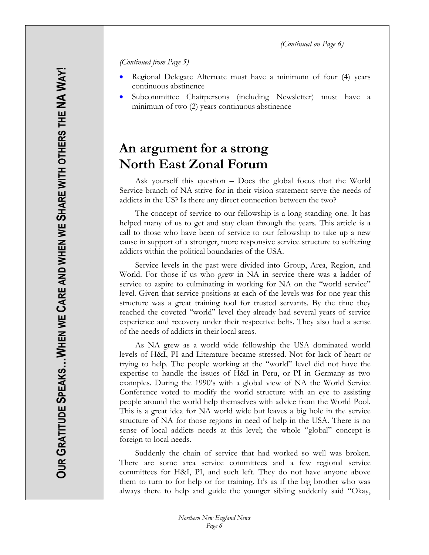*(Continued on Page 6)* 

*(Continued from Page 5)* 

- Regional Delegate Alternate must have a minimum of four (4) years continuous abstinence
- Subcommittee Chairpersons (including Newsletter) must have a minimum of two (2) years continuous abstinence

## **An argument for a strong North East Zonal Forum**

Ask yourself this question – Does the global focus that the World Service branch of NA strive for in their vision statement serve the needs of addicts in the US? Is there any direct connection between the two?

 The concept of service to our fellowship is a long standing one. It has helped many of us to get and stay clean through the years. This article is a call to those who have been of service to our fellowship to take up a new cause in support of a stronger, more responsive service structure to suffering addicts within the political boundaries of the USA.

 Service levels in the past were divided into Group, Area, Region, and World. For those if us who grew in NA in service there was a ladder of service to aspire to culminating in working for NA on the "world service" level. Given that service positions at each of the levels was for one year this structure was a great training tool for trusted servants. By the time they reached the coveted "world" level they already had several years of service experience and recovery under their respective belts. They also had a sense of the needs of addicts in their local areas.

 As NA grew as a world wide fellowship the USA dominated world levels of H&I, PI and Literature became stressed. Not for lack of heart or trying to help. The people working at the "world" level did not have the expertise to handle the issues of H&I in Peru, or PI in Germany as two examples. During the 1990's with a global view of NA the World Service Conference voted to modify the world structure with an eye to assisting people around the world help themselves with advice from the World Pool. This is a great idea for NA world wide but leaves a big hole in the service structure of NA for those regions in need of help in the USA. There is no sense of local addicts needs at this level; the whole "global" concept is foreign to local needs.

 Suddenly the chain of service that had worked so well was broken. There are some area service committees and a few regional service committees for H&I, PI, and such left. They do not have anyone above them to turn to for help or for training. It's as if the big brother who was always there to help and guide the younger sibling suddenly said "Okay,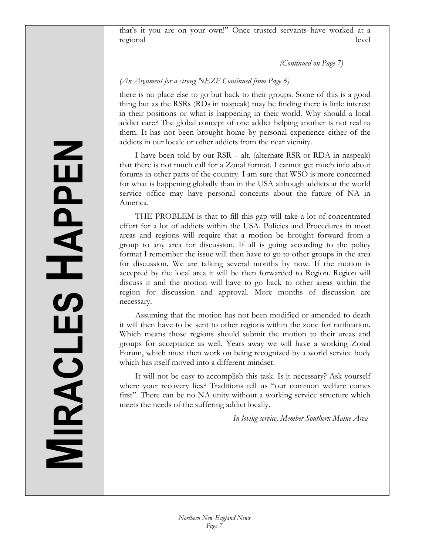that's it you are on your own!" Once trusted servants have worked at a regional level

*(Continued on Page 7)* 

### *(An Argument for a strong NEZF Continued from Page 6)*

there is no place else to go but back to their groups. Some of this is a good thing but as the RSRs (RDs in naspeak) may be finding there is little interest in their positions or what is happening in their world. Why should a local addict care? The global concept of one addict helping another is not real to them. It has not been brought home by personal experience either of the addicts in our locale or other addicts from the near vicinity.

 I have been told by our RSR – alt. (alternate RSR or RDA in naspeak) that there is not much call for a Zonal format. I cannot get much info about forums in other parts of the country. I am sure that WSO is more concerned for what is happening globally than in the USA although addicts at the world service office may have personal concerns about the future of NA in America.

 THE PROBLEM is that to fill this gap will take a lot of concentrated effort for a lot of addicts within the USA. Policies and Procedures in most areas and regions will require that a motion be brought forward from a group to any area for discussion. If all is going according to the policy format I remember the issue will then have to go to other groups in the area for discussion. We are talking several months by now. If the motion is accepted by the local area it will be then forwarded to Region. Region will discuss it and the motion will have to go back to other areas within the region for discussion and approval. More months of discussion are necessary.

 Assuming that the motion has not been modified or amended to death it will then have to be sent to other regions within the zone for ratification. Which means those regions should submit the motion to their areas and groups for acceptance as well. Years away we will have a working Zonal Forum, which must then work on being recognized by a world service body which has itself moved into a different mindset.

 It will not be easy to accomplish this task. Is it necessary? Ask yourself where your recovery lies? Traditions tell us "our common welfare comes first". There can be no NA unity without a working service structure which meets the needs of the suffering addict locally.

*In loving service, Member Southern Maine Area*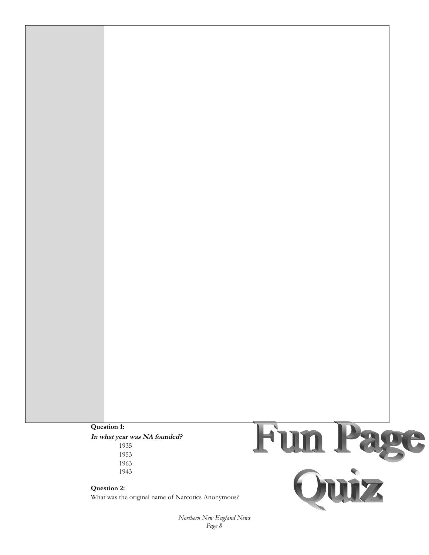### **Question 1: In what year was NA founded?**  1935 1953 1963 1943

**Question 2:**  What was the original name of Narcotics Anonymous?



*Northern New England News Page 8*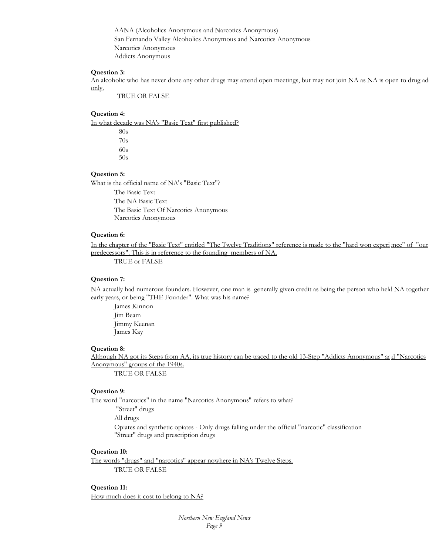AANA (Alcoholics Anonymous and Narcotics Anonymous) San Fernando Valley Alcoholics Anonymous and Narcotics Anonymous Narcotics Anonymous Addicts Anonymous

### **Question 3:**

An alcoholic who has never done any other drugs may attend open meetings, but may not join NA as NA is open to drug ad only.

TRUE OR FALSE

#### **Question 4:**

In what decade was NA's "Basic Text" first published?

 80s 70s 60s 50s

#### **Question 5:**

What is the official name of NA's "Basic Text"?

The Basic Text The NA Basic Text The Basic Text Of Narcotics Anonymous Narcotics Anonymous

### **Question 6:**

In the chapter of the "Basic Text" entitled "The Twelve Traditions" reference is made to the "hard won experience" of "our predecessors". This is in reference to the founding members of NA.

TRUE or FALSE

### **Question 7:**

NA actually had numerous founders. However, one man is generally given credit as being the person who held NA together early years, or being "THE Founder". What was his name?

James Kinnon Jim Beam Jimmy Keenan James Kay

#### **Question 8:**

Although NA got its Steps from AA, its true history can be traced to the old 13-Step "Addicts Anonymous" ard "Narcotics Anonymous" groups of the 1940s.

TRUE OR FALSE

#### **Question 9:**

The word "narcotics" in the name "Narcotics Anonymous" refers to what?

 "Street" drugs All drugs

Opiates and synthetic opiates - Only drugs falling under the official "narcotic" classification "Street" drugs and prescription drugs

### **Question 10:**

The words "drugs" and "narcotics" appear nowhere in NA's Twelve Steps. TRUE OR FALSE

#### **Question 11:**

How much does it cost to belong to NA?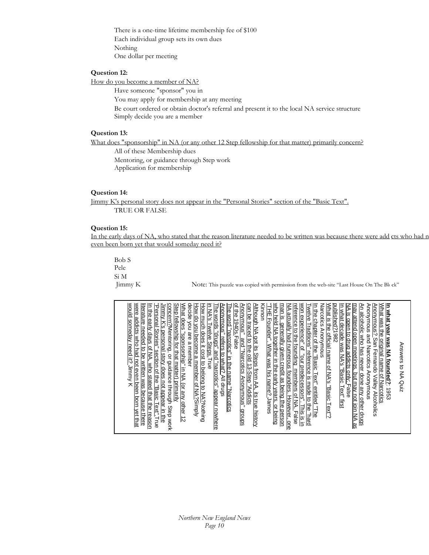There is a one-time lifetime membership fee of \$100 Each individual group sets its own dues Nothing One dollar per meeting

### **Question 12:**

How do you become a member of NA?

Have someone "sponsor" you in

You may apply for membership at any meeting

Be court ordered or obtain doctor's referral and present it to the local NA service structure Simply decide you are a member

#### **Question 13:**

What does "sponsorship" in NA (or any other 12 Step fellowship for that matter) primarily concern?

All of these Membership dues Mentoring, or guidance through Step work Application for membership

### **Question 14:**

Jimmy K's personal story does not appear in the "Personal Stories" section of the "Basic Text". TRUE OR FALSE

#### **Question 15:**

In the early days of NA, who stated that the reason literature needed to be written was because there were add cts who had n even been born yet that would someday need it?

Bob S Pele Si M

Jimmy K Note: This puzzle was copied with permission from the web-site "Last House On The Block"

| would someday need it? Jimmy K<br>Jimmy K's personal story does not appear in the<br>"Personal Stories" section of the "Basic Text".True<br>concern?Mentoring, or guidance through Step work<br>What does "sponsorship" in NA (or any other 12<br>Step fellowship for that matter) primarily<br>were addicts who had not even been born yet that<br>literature needed to be written was because there<br>decide you are a member<br>in NA's Twelve Steps. True<br>Anonymous" and "Narcotics Anonymous" groups<br>of the 1940s.False<br>In the early days of NA, who stated that the reason<br>How much does it cost to belong to NA?Nothing<br>Anonymous" refers to what? All drugs<br>The words "drugs" and "narcotics" appear nowhere<br>How do you become a member of NA?Simply<br>The word "narcotics" in the name "Narcotics | In what year was NA founded?: 1953<br>can be traced to the old 13-Step "Addicts<br>"THE Founder".<br>What was the original name of Narcotics<br><u>Anonymous?</u> San Fernando Valley Alcoholics<br>who held NA together in the early years, or being<br><u>Twelve Traditions" reference is made to the "hard</u><br>won experience" of "our predecessors". This is in<br>reference to the founding members of NA. False<br>may attend open meetings, but may not join NA<br>Kinnon<br>man is generally given credit as being the person<br><u>NA actually had numerous founders. However, one</u><br>Narcotics Anonymous<br>What is the official name of NA's "Basic Text"?<br>published?1982<br>NA is open to drug addicts only: False<br>Although NA got its Steps from AA, its true history<br><u>n the chapter of the "Basic Text" entitled "The</u><br>In what decade was NA's "Basic Text" first<br>An alcoholic who has never done any other drugs<br>Anonymous and Narcotics Anonymous<br>Answers to NA Quiz<br>What was his name? James |
|-----------------------------------------------------------------------------------------------------------------------------------------------------------------------------------------------------------------------------------------------------------------------------------------------------------------------------------------------------------------------------------------------------------------------------------------------------------------------------------------------------------------------------------------------------------------------------------------------------------------------------------------------------------------------------------------------------------------------------------------------------------------------------------------------------------------------------------|---------------------------------------------------------------------------------------------------------------------------------------------------------------------------------------------------------------------------------------------------------------------------------------------------------------------------------------------------------------------------------------------------------------------------------------------------------------------------------------------------------------------------------------------------------------------------------------------------------------------------------------------------------------------------------------------------------------------------------------------------------------------------------------------------------------------------------------------------------------------------------------------------------------------------------------------------------------------------------------------------------------------------------------------------|
|-----------------------------------------------------------------------------------------------------------------------------------------------------------------------------------------------------------------------------------------------------------------------------------------------------------------------------------------------------------------------------------------------------------------------------------------------------------------------------------------------------------------------------------------------------------------------------------------------------------------------------------------------------------------------------------------------------------------------------------------------------------------------------------------------------------------------------------|---------------------------------------------------------------------------------------------------------------------------------------------------------------------------------------------------------------------------------------------------------------------------------------------------------------------------------------------------------------------------------------------------------------------------------------------------------------------------------------------------------------------------------------------------------------------------------------------------------------------------------------------------------------------------------------------------------------------------------------------------------------------------------------------------------------------------------------------------------------------------------------------------------------------------------------------------------------------------------------------------------------------------------------------------|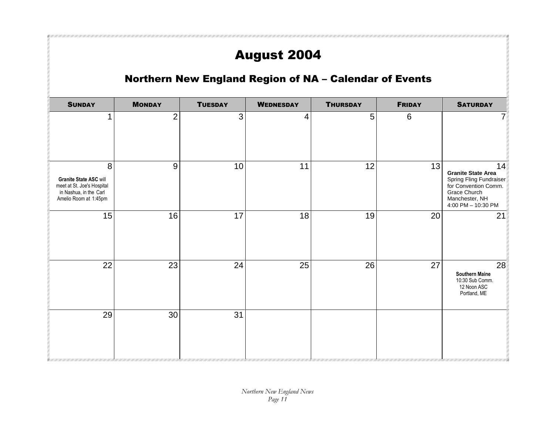## August 2004

## Northern New England Region of NA – Calendar of Events

| <b>SUNDAY</b>                                                                                                | <b>MONDAY</b>  | <b>TUESDAY</b> | <b>WEDNESDAY</b> | <b>THURSDAY</b> | <b>FRIDAY</b> | <b>SATURDAY</b>                                                                                                                            |
|--------------------------------------------------------------------------------------------------------------|----------------|----------------|------------------|-----------------|---------------|--------------------------------------------------------------------------------------------------------------------------------------------|
| $\mathbf{1}$                                                                                                 | $\overline{2}$ | $\mathbf{3}$   | 4                | 5               | $\,6\,$       | 7 <sup>1</sup>                                                                                                                             |
| 8<br>Granite State ASC will<br>meet at St. Joe's Hospital<br>in Nashua, in the Carl<br>Amelio Room at 1:45pm | $9\,$          | 10             | 11               | 12              | 13            | 14<br><b>Granite State Area</b><br>Spring Fling Fundraiser<br>for Convention Comm.<br>Grace Church<br>Manchester, NH<br>4:00 PM - 10:30 PM |
| 15                                                                                                           | 16             | 17             | 18               | 19              | 20            | 21                                                                                                                                         |
| 22                                                                                                           | 23             | 24             | 25               | 26              | 27            | 28<br><b>Southern Maine</b><br>10:30 Sub Comm.<br>12 Noon ASC<br>Portland, ME                                                              |
| 29                                                                                                           | 30             | 31             |                  |                 |               |                                                                                                                                            |